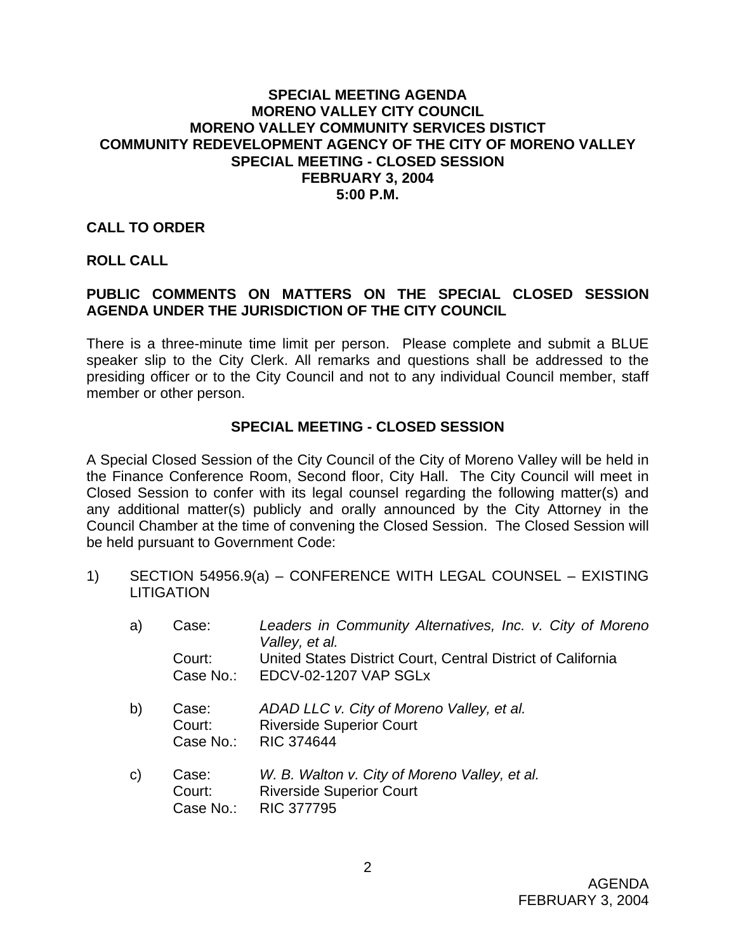## **SPECIAL MEETING AGENDA MORENO VALLEY CITY COUNCIL MORENO VALLEY COMMUNITY SERVICES DISTICT COMMUNITY REDEVELOPMENT AGENCY OF THE CITY OF MORENO VALLEY SPECIAL MEETING - CLOSED SESSION FEBRUARY 3, 2004 5:00 P.M.**

## **CALL TO ORDER**

### **ROLL CALL**

# **PUBLIC COMMENTS ON MATTERS ON THE SPECIAL CLOSED SESSION AGENDA UNDER THE JURISDICTION OF THE CITY COUNCIL**

There is a three-minute time limit per person. Please complete and submit a BLUE speaker slip to the City Clerk. All remarks and questions shall be addressed to the presiding officer or to the City Council and not to any individual Council member, staff member or other person.

### **SPECIAL MEETING - CLOSED SESSION**

A Special Closed Session of the City Council of the City of Moreno Valley will be held in the Finance Conference Room, Second floor, City Hall. The City Council will meet in Closed Session to confer with its legal counsel regarding the following matter(s) and any additional matter(s) publicly and orally announced by the City Attorney in the Council Chamber at the time of convening the Closed Session. The Closed Session will be held pursuant to Government Code:

1) SECTION 54956.9(a) – CONFERENCE WITH LEGAL COUNSEL – EXISTING **LITIGATION** 

| a)           | Case:                        | Leaders in Community Alternatives, Inc. v. City of Moreno<br>Valley, et al.                       |
|--------------|------------------------------|---------------------------------------------------------------------------------------------------|
|              | Court:<br>Case No.:          | United States District Court, Central District of California<br>EDCV-02-1207 VAP SGLx             |
| b)           | Case:<br>Court:<br>Case No.: | ADAD LLC v. City of Moreno Valley, et al.<br><b>Riverside Superior Court</b><br><b>RIC 374644</b> |
| $\mathsf{C}$ | Case:<br>Court:              | W. B. Walton v. City of Moreno Valley, et al.<br><b>Riverside Superior Court</b>                  |

Case No.: RIC 377795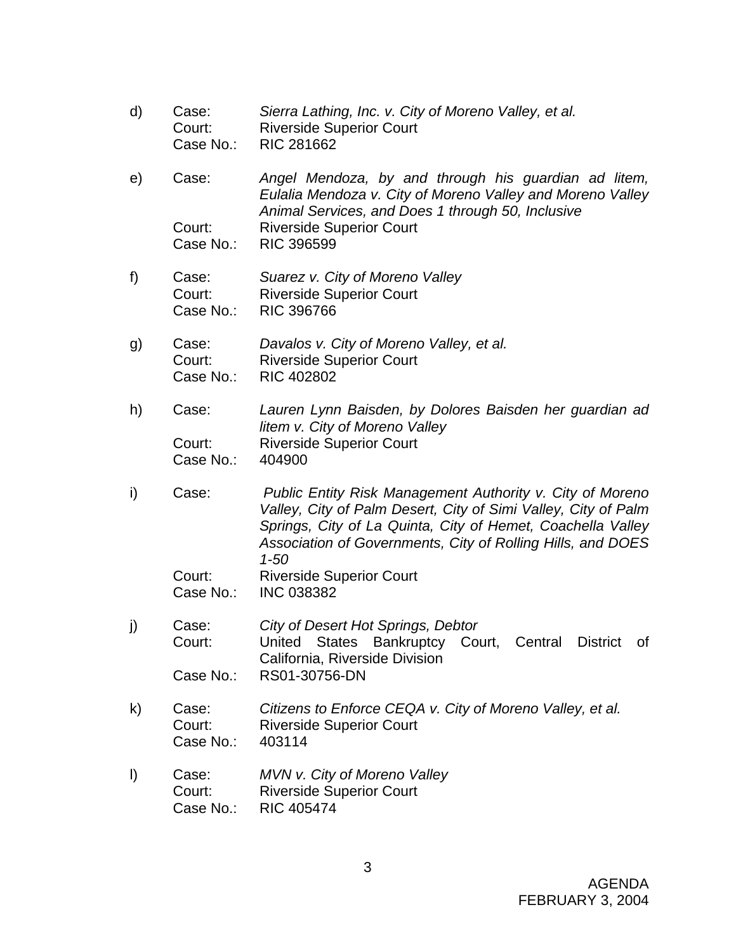- d) Case: *Sierra Lathing, Inc. v. City of Moreno Valley, et al.*  Court: Riverside Superior Court Case No.: RIC 281662
- e) Case: *Angel Mendoza, by and through his guardian ad litem, Eulalia Mendoza v. City of Moreno Valley and Moreno Valley Animal Services, and Does 1 through 50, Inclusive*  Court: Riverside Superior Court Case No.: RIC 396599
- f) Case: *Suarez v. City of Moreno Valley*  Court: Riverside Superior Court Case No.: RIC 396766
- g) Case: *Davalos v. City of Moreno Valley, et al.*  Court: Riverside Superior Court Case No.: RIC 402802
- h) Case: *Lauren Lynn Baisden, by Dolores Baisden her guardian ad litem v. City of Moreno Valley*  Court: Riverside Superior Court Case No.: 404900
- i) Case: *Public Entity Risk Management Authority v. City of Moreno Valley, City of Palm Desert, City of Simi Valley, City of Palm Springs, City of La Quinta, City of Hemet, Coachella Valley Association of Governments, City of Rolling Hills, and DOES 1-50* Court: Riverside Superior Court
	- Case No.: INC 038382
- j) Case: *City of Desert Hot Springs, Debtor*  Court: United States Bankruptcy Court, Central District of California, Riverside Division Case No.: RS01-30756-DN
- k) Case: *Citizens to Enforce CEQA v. City of Moreno Valley, et al.*  Court: Riverside Superior Court Case No.: 403114
- l) Case: *MVN v. City of Moreno Valley* Court: Riverside Superior Court Case No.: RIC 405474